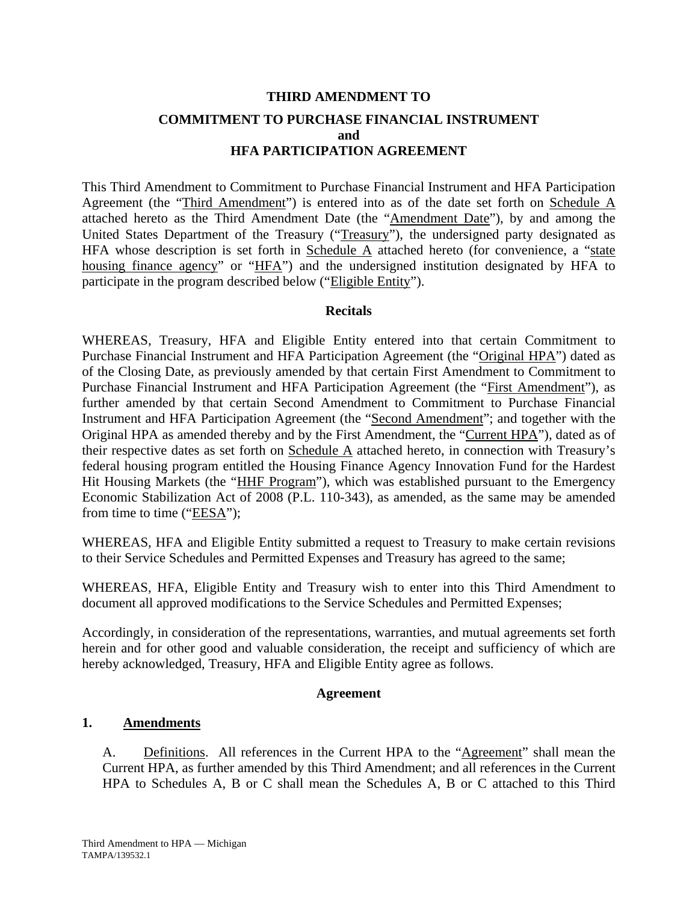# **THIRD AMENDMENT TO COMMITMENT TO PURCHASE FINANCIAL INSTRUMENT and HFA PARTICIPATION AGREEMENT**

This Third Amendment to Commitment to Purchase Financial Instrument and HFA Participation Agreement (the "Third Amendment") is entered into as of the date set forth on Schedule A attached hereto as the Third Amendment Date (the "Amendment Date"), by and among the United States Department of the Treasury ("Treasury"), the undersigned party designated as HFA whose description is set forth in Schedule  $\overline{A}$  attached hereto (for convenience, a "state housing finance agency" or "HFA") and the undersigned institution designated by HFA to participate in the program described below ("Eligible Entity").

#### **Recitals**

WHEREAS, Treasury, HFA and Eligible Entity entered into that certain Commitment to Purchase Financial Instrument and HFA Participation Agreement (the "Original HPA") dated as of the Closing Date, as previously amended by that certain First Amendment to Commitment to Purchase Financial Instrument and HFA Participation Agreement (the "First Amendment"), as further amended by that certain Second Amendment to Commitment to Purchase Financial Instrument and HFA Participation Agreement (the "Second Amendment"; and together with the Original HPA as amended thereby and by the First Amendment, the "Current HPA"), dated as of their respective dates as set forth on Schedule A attached hereto, in connection with Treasury's federal housing program entitled the Housing Finance Agency Innovation Fund for the Hardest Hit Housing Markets (the "HHF Program"), which was established pursuant to the Emergency Economic Stabilization Act of 2008 (P.L. 110-343), as amended, as the same may be amended from time to time ("EESA");

WHEREAS, HFA and Eligible Entity submitted a request to Treasury to make certain revisions to their Service Schedules and Permitted Expenses and Treasury has agreed to the same;

WHEREAS, HFA, Eligible Entity and Treasury wish to enter into this Third Amendment to document all approved modifications to the Service Schedules and Permitted Expenses;

Accordingly, in consideration of the representations, warranties, and mutual agreements set forth herein and for other good and valuable consideration, the receipt and sufficiency of which are hereby acknowledged, Treasury, HFA and Eligible Entity agree as follows.

#### **Agreement**

### **1. Amendments**

A. Definitions. All references in the Current HPA to the "Agreement" shall mean the Current HPA, as further amended by this Third Amendment; and all references in the Current HPA to Schedules A, B or C shall mean the Schedules A, B or C attached to this Third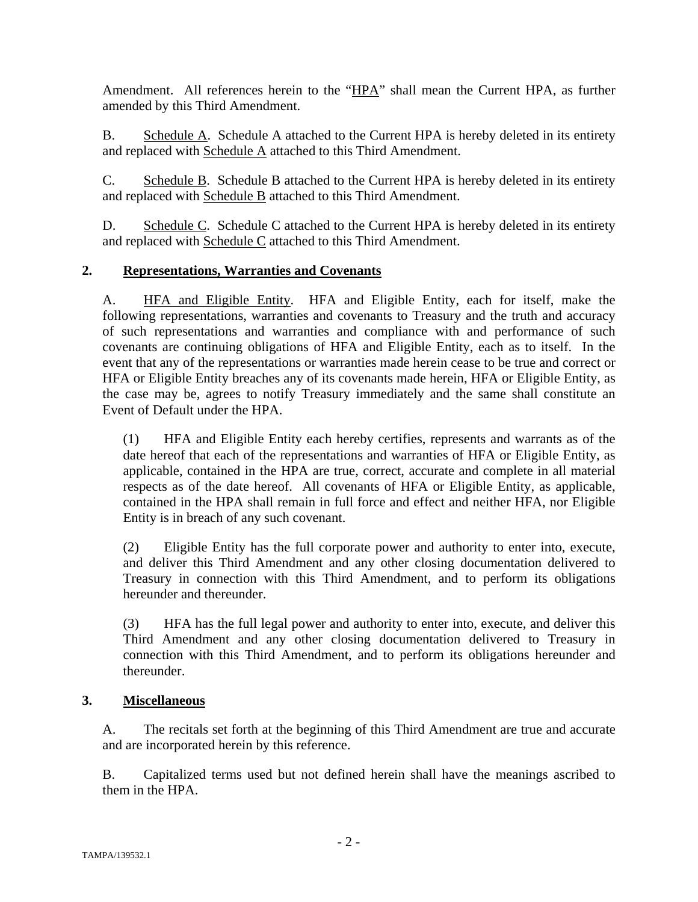Amendment. All references herein to the "HPA" shall mean the Current HPA, as further amended by this Third Amendment.

B. Schedule A. Schedule A attached to the Current HPA is hereby deleted in its entirety and replaced with Schedule A attached to this Third Amendment.

C. Schedule B. Schedule B attached to the Current HPA is hereby deleted in its entirety and replaced with Schedule B attached to this Third Amendment.

D. Schedule C. Schedule C attached to the Current HPA is hereby deleted in its entirety and replaced with Schedule C attached to this Third Amendment.

### **2. Representations, Warranties and Covenants**

A. HFA and Eligible Entity. HFA and Eligible Entity, each for itself, make the following representations, warranties and covenants to Treasury and the truth and accuracy of such representations and warranties and compliance with and performance of such covenants are continuing obligations of HFA and Eligible Entity, each as to itself. In the event that any of the representations or warranties made herein cease to be true and correct or HFA or Eligible Entity breaches any of its covenants made herein, HFA or Eligible Entity, as the case may be, agrees to notify Treasury immediately and the same shall constitute an Event of Default under the HPA.

(1) HFA and Eligible Entity each hereby certifies, represents and warrants as of the date hereof that each of the representations and warranties of HFA or Eligible Entity, as applicable, contained in the HPA are true, correct, accurate and complete in all material respects as of the date hereof. All covenants of HFA or Eligible Entity, as applicable, contained in the HPA shall remain in full force and effect and neither HFA, nor Eligible Entity is in breach of any such covenant.

(2) Eligible Entity has the full corporate power and authority to enter into, execute, and deliver this Third Amendment and any other closing documentation delivered to Treasury in connection with this Third Amendment, and to perform its obligations hereunder and thereunder.

(3) HFA has the full legal power and authority to enter into, execute, and deliver this Third Amendment and any other closing documentation delivered to Treasury in connection with this Third Amendment, and to perform its obligations hereunder and thereunder.

### **3. Miscellaneous**

A. The recitals set forth at the beginning of this Third Amendment are true and accurate and are incorporated herein by this reference.

B. Capitalized terms used but not defined herein shall have the meanings ascribed to them in the HPA.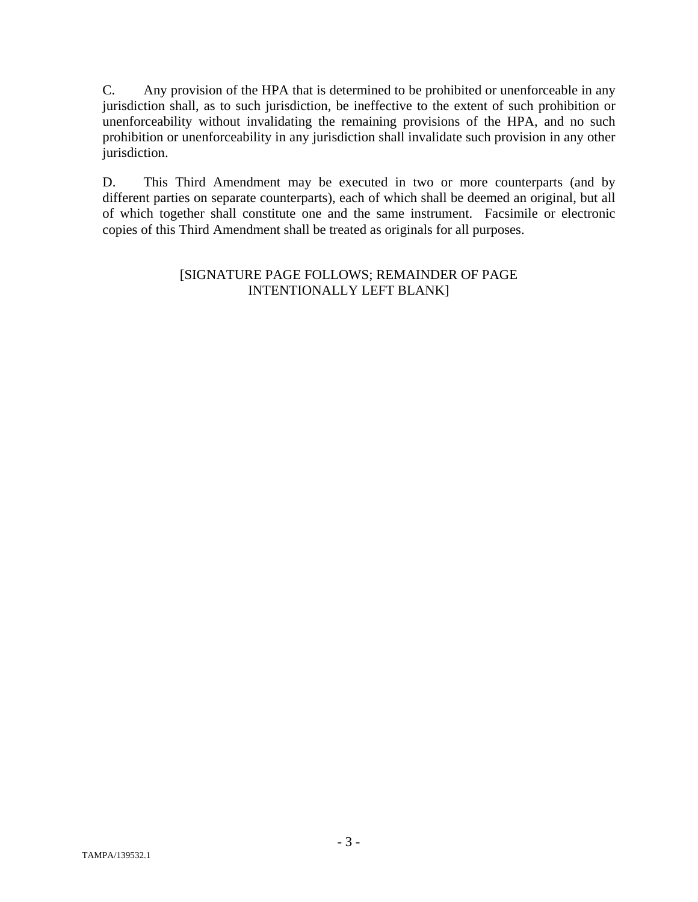C. Any provision of the HPA that is determined to be prohibited or unenforceable in any jurisdiction shall, as to such jurisdiction, be ineffective to the extent of such prohibition or unenforceability without invalidating the remaining provisions of the HPA, and no such prohibition or unenforceability in any jurisdiction shall invalidate such provision in any other jurisdiction.

D. This Third Amendment may be executed in two or more counterparts (and by different parties on separate counterparts), each of which shall be deemed an original, but all of which together shall constitute one and the same instrument. Facsimile or electronic copies of this Third Amendment shall be treated as originals for all purposes.

#### [SIGNATURE PAGE FOLLOWS; REMAINDER OF PAGE INTENTIONALLY LEFT BLANK]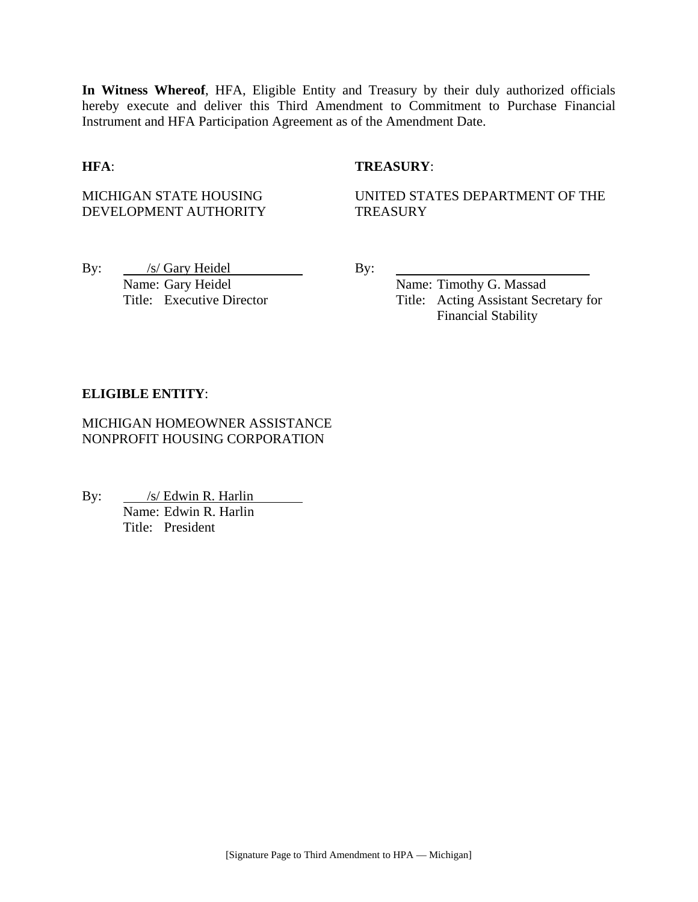**In Witness Whereof**, HFA, Eligible Entity and Treasury by their duly authorized officials hereby execute and deliver this Third Amendment to Commitment to Purchase Financial Instrument and HFA Participation Agreement as of the Amendment Date.

#### **HFA**: **TREASURY**:

MICHIGAN STATE HOUSING DEVELOPMENT AUTHORITY UNITED STATES DEPARTMENT OF THE **TREASURY** 

By: /s/ Gary Heidel By: Name: Gary Heidel Name: Timothy G. Massad

Title: Executive Director Title: Acting Assistant Secretary for Financial Stability

#### **ELIGIBLE ENTITY**:

MICHIGAN HOMEOWNER ASSISTANCE NONPROFIT HOUSING CORPORATION

By: <u>/s/ Edwin R. Harlin</u> <u>Name: Edwin R. Harlin</u><br>Name: Edwin R. Harlin Title: President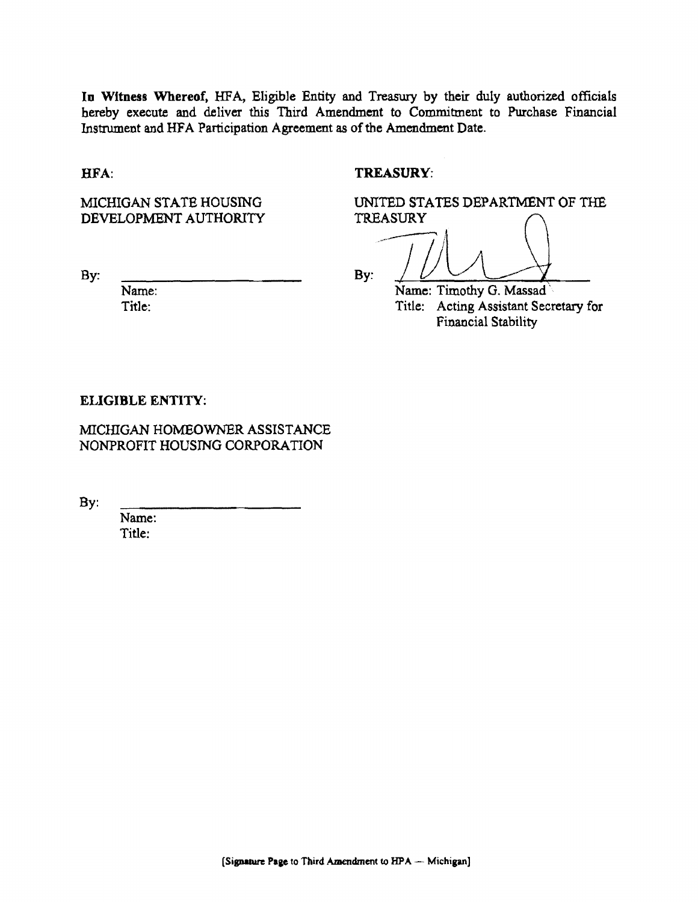10 Witness Whereof. HFA, Eligible Entity and Treasury by their duly authorized officials hereby execute and deliver this Third Amendment to Commitment to Purchase Financial Instrument and HFA Participation Agreement as of the Amendment Date.

BFA:

#### TREASURY:

TREASURY

MICHIGAN STATE HOUSING DEVELOPMENT AUTHORITY

By:

Name: Title:

By:  $/$   $/$   $/$   $/$ 

Name: Timothy G. Massad' Title: Acting Assistant Secretary for Financial Stability

UNITED STATES DEPARTMENT OF THE

#### ELIGIBLE ENTITY:

MICHIGAN HOMEOWNER ASSISTANCE NONPROFIT HOUSING CORPORATION

By:

Name: Title: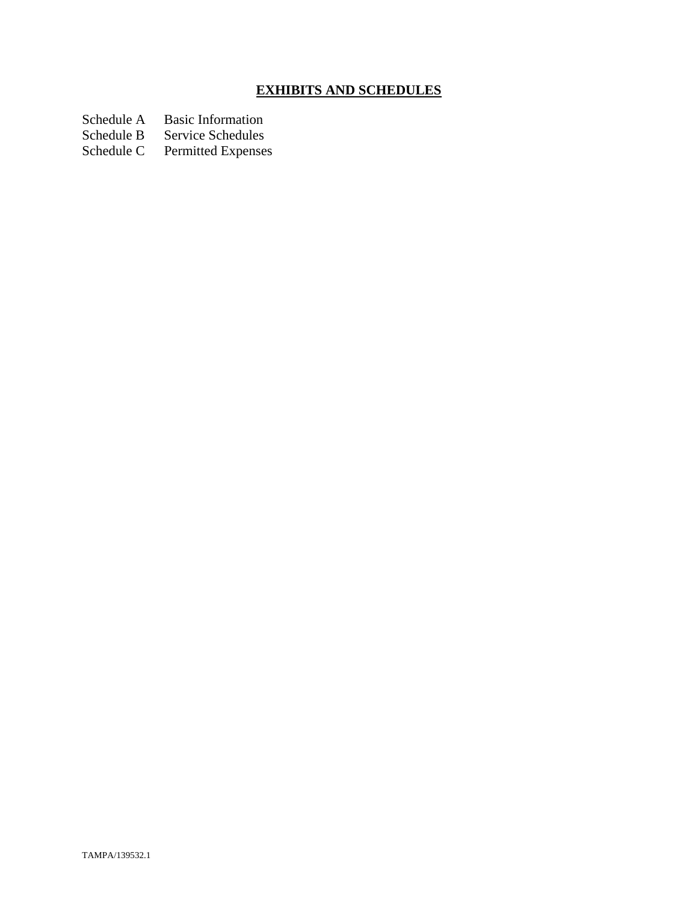# **EXHIBITS AND SCHEDULES**

Schedule A Basic Information<br>Schedule B Service Schedules

Schedule B Service Schedules<br>Schedule C Permitted Expenses

Permitted Expenses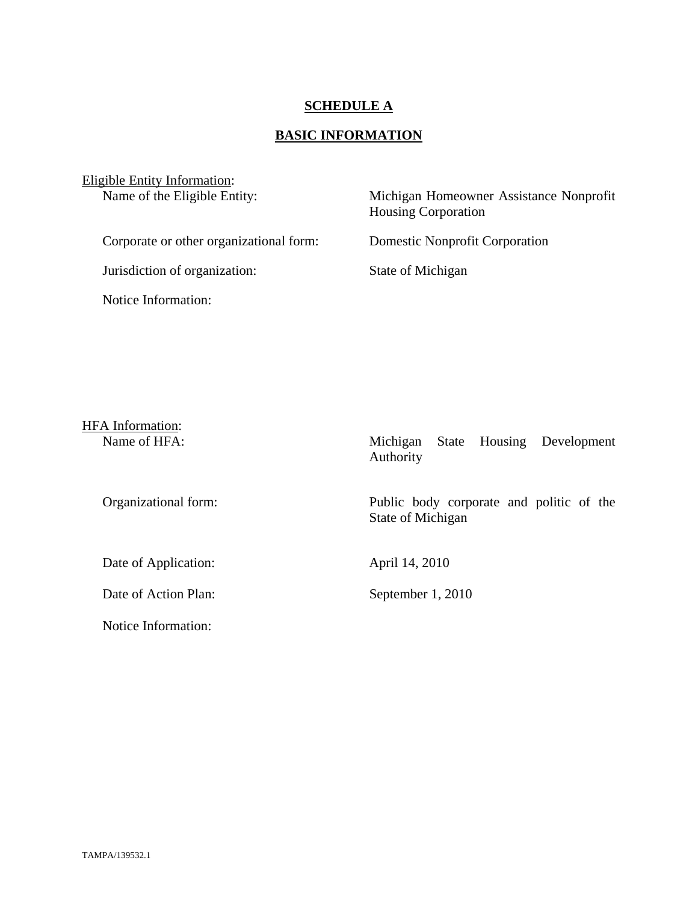## **SCHEDULE A**

# **BASIC INFORMATION**

| Eligible Entity Information:<br>Name of the Eligible Entity: | Michigan Homeowner Assistance Nonprofit<br><b>Housing Corporation</b> |
|--------------------------------------------------------------|-----------------------------------------------------------------------|
| Corporate or other organizational form:                      | <b>Domestic Nonprofit Corporation</b>                                 |
| Jurisdiction of organization:                                | State of Michigan                                                     |
| Notice Information:                                          |                                                                       |

| <b>HFA</b> Information: |                                                               |
|-------------------------|---------------------------------------------------------------|
| Name of HFA:            | State Housing Development<br>Michigan<br>Authority            |
| Organizational form:    | Public body corporate and politic of the<br>State of Michigan |
| Date of Application:    | April 14, 2010                                                |
| Date of Action Plan:    | September 1, 2010                                             |
| Notice Information:     |                                                               |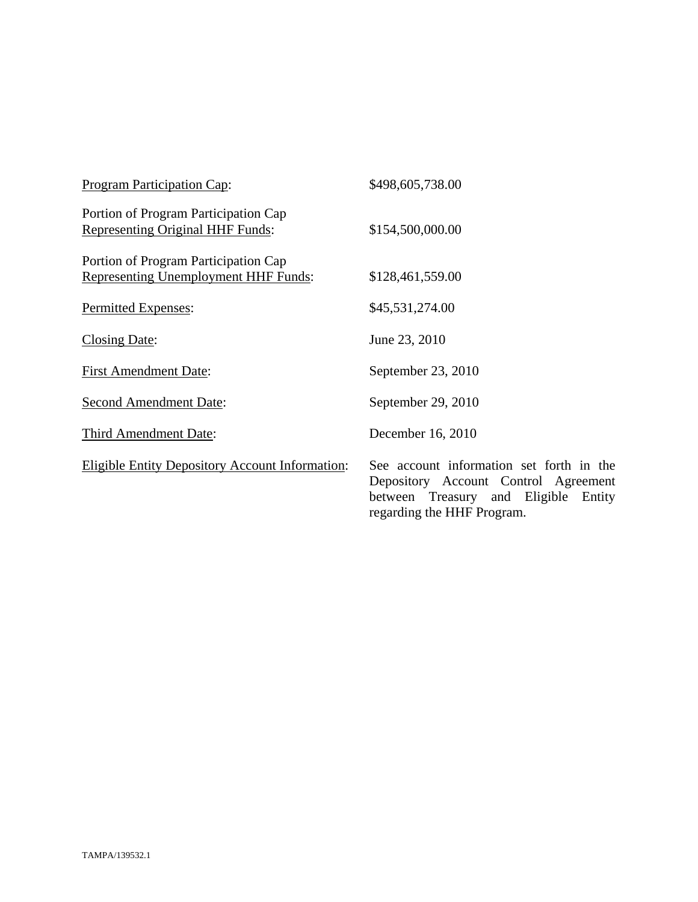| Program Participation Cap:                                                          | \$498,605,738.00                                                                                                               |
|-------------------------------------------------------------------------------------|--------------------------------------------------------------------------------------------------------------------------------|
| Portion of Program Participation Cap<br><b>Representing Original HHF Funds:</b>     | \$154,500,000.00                                                                                                               |
| Portion of Program Participation Cap<br><b>Representing Unemployment HHF Funds:</b> | \$128,461,559.00                                                                                                               |
| Permitted Expenses:                                                                 | \$45,531,274.00                                                                                                                |
| <b>Closing Date:</b>                                                                | June 23, 2010                                                                                                                  |
| <b>First Amendment Date:</b>                                                        | September 23, 2010                                                                                                             |
| <b>Second Amendment Date:</b>                                                       | September 29, 2010                                                                                                             |
| Third Amendment Date:                                                               | December 16, 2010                                                                                                              |
| <b>Eligible Entity Depository Account Information:</b>                              | See account information set forth in the<br>Depository Account Control Agreement<br>Eligible<br>between Treasury and<br>Entity |

regarding the HHF Program.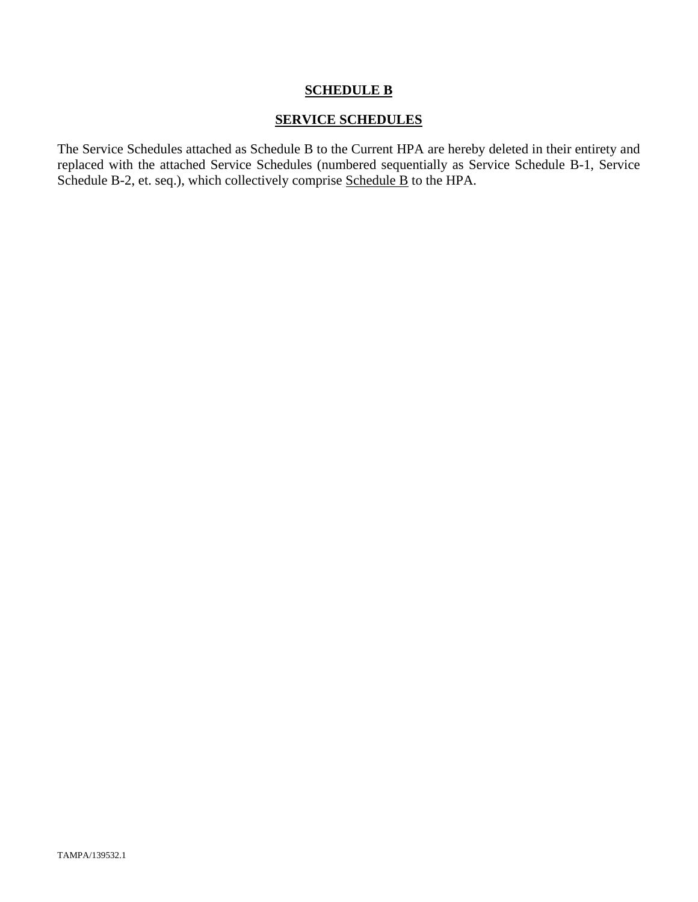#### **SCHEDULE B**

#### **SERVICE SCHEDULES**

The Service Schedules attached as Schedule B to the Current HPA are hereby deleted in their entirety and replaced with the attached Service Schedules (numbered sequentially as Service Schedule B-1, Service Schedule B-2, et. seq.), which collectively comprise Schedule B to the HPA.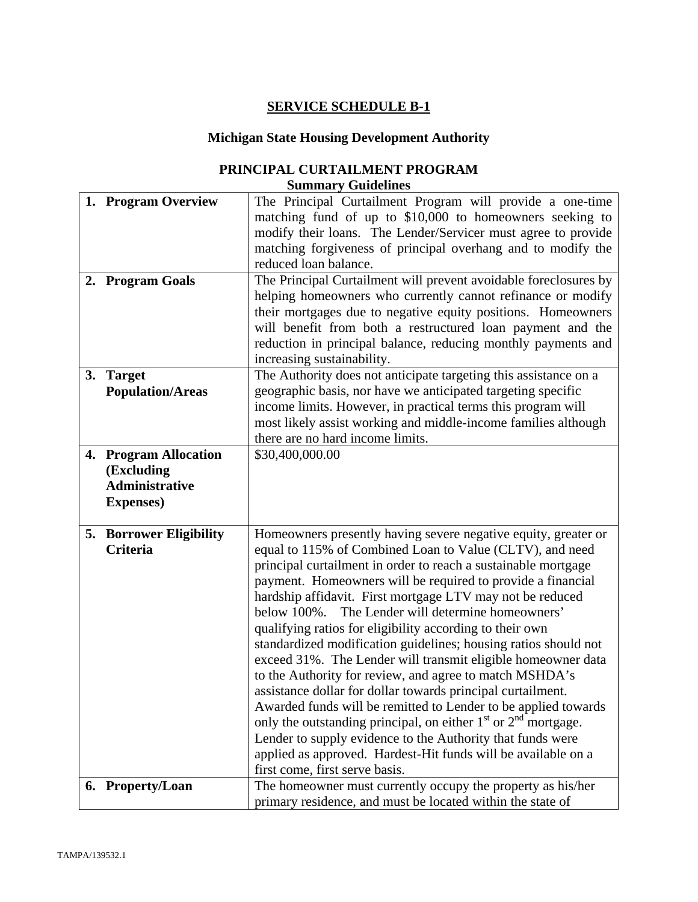# **SERVICE SCHEDULE B-1**

# **Michigan State Housing Development Authority**

#### **PRINCIPAL CURTAILMENT PROGRAM Summary Guidelines**

|    | 1. Program Overview            | The Principal Curtailment Program will provide a one-time          |  |
|----|--------------------------------|--------------------------------------------------------------------|--|
|    |                                | matching fund of up to \$10,000 to homeowners seeking to           |  |
|    |                                | modify their loans. The Lender/Servicer must agree to provide      |  |
|    |                                | matching forgiveness of principal overhang and to modify the       |  |
|    |                                | reduced loan balance.                                              |  |
|    | 2. Program Goals               | The Principal Curtailment will prevent avoidable foreclosures by   |  |
|    |                                | helping homeowners who currently cannot refinance or modify        |  |
|    |                                | their mortgages due to negative equity positions. Homeowners       |  |
|    |                                |                                                                    |  |
|    |                                | will benefit from both a restructured loan payment and the         |  |
|    |                                | reduction in principal balance, reducing monthly payments and      |  |
|    |                                | increasing sustainability.                                         |  |
| 3. | <b>Target</b>                  | The Authority does not anticipate targeting this assistance on a   |  |
|    | <b>Population/Areas</b>        | geographic basis, nor have we anticipated targeting specific       |  |
|    |                                | income limits. However, in practical terms this program will       |  |
|    |                                | most likely assist working and middle-income families although     |  |
|    |                                | there are no hard income limits.                                   |  |
|    | 4. Program Allocation          | \$30,400,000.00                                                    |  |
|    | (Excluding                     |                                                                    |  |
|    | <b>Administrative</b>          |                                                                    |  |
|    | <b>Expenses</b> )              |                                                                    |  |
|    |                                |                                                                    |  |
|    | <b>5. Borrower Eligibility</b> | Homeowners presently having severe negative equity, greater or     |  |
|    | <b>Criteria</b>                | equal to 115% of Combined Loan to Value (CLTV), and need           |  |
|    |                                | principal curtailment in order to reach a sustainable mortgage     |  |
|    |                                | payment. Homeowners will be required to provide a financial        |  |
|    |                                | hardship affidavit. First mortgage LTV may not be reduced          |  |
|    |                                | The Lender will determine homeowners'<br>below 100%.               |  |
|    |                                | qualifying ratios for eligibility according to their own           |  |
|    |                                | standardized modification guidelines; housing ratios should not    |  |
|    |                                | exceed 31%. The Lender will transmit eligible homeowner data       |  |
|    |                                | to the Authority for review, and agree to match MSHDA's            |  |
|    |                                | assistance dollar for dollar towards principal curtailment.        |  |
|    |                                | Awarded funds will be remitted to Lender to be applied towards     |  |
|    |                                | only the outstanding principal, on either $1st$ or $2nd$ mortgage. |  |
|    |                                | Lender to supply evidence to the Authority that funds were         |  |
|    |                                |                                                                    |  |
|    |                                | applied as approved. Hardest-Hit funds will be available on a      |  |
|    |                                | first come, first serve basis.                                     |  |
|    | 6. Property/Loan               | The homeowner must currently occupy the property as his/her        |  |
|    |                                | primary residence, and must be located within the state of         |  |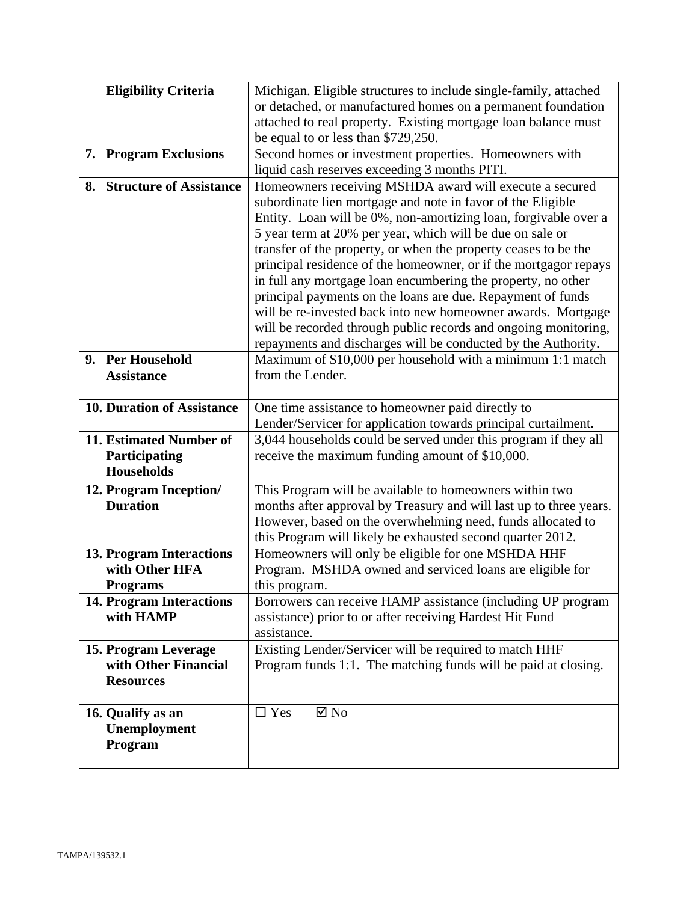| <b>Eligibility Criteria</b>                       | Michigan. Eligible structures to include single-family, attached          |  |
|---------------------------------------------------|---------------------------------------------------------------------------|--|
|                                                   | or detached, or manufactured homes on a permanent foundation              |  |
|                                                   | attached to real property. Existing mortgage loan balance must            |  |
|                                                   | be equal to or less than \$729,250.                                       |  |
| 7. Program Exclusions                             | Second homes or investment properties. Homeowners with                    |  |
|                                                   | liquid cash reserves exceeding 3 months PITI.                             |  |
| 8. Structure of Assistance                        | Homeowners receiving MSHDA award will execute a secured                   |  |
|                                                   | subordinate lien mortgage and note in favor of the Eligible               |  |
|                                                   | Entity. Loan will be 0%, non-amortizing loan, forgivable over a           |  |
|                                                   | 5 year term at 20% per year, which will be due on sale or                 |  |
|                                                   | transfer of the property, or when the property ceases to be the           |  |
|                                                   | principal residence of the homeowner, or if the mortgagor repays          |  |
|                                                   | in full any mortgage loan encumbering the property, no other              |  |
|                                                   | principal payments on the loans are due. Repayment of funds               |  |
|                                                   | will be re-invested back into new homeowner awards. Mortgage              |  |
|                                                   | will be recorded through public records and ongoing monitoring,           |  |
|                                                   | repayments and discharges will be conducted by the Authority.             |  |
| 9. Per Household                                  | Maximum of \$10,000 per household with a minimum 1:1 match                |  |
| <b>Assistance</b>                                 | from the Lender.                                                          |  |
|                                                   |                                                                           |  |
| <b>10. Duration of Assistance</b>                 | One time assistance to homeowner paid directly to                         |  |
|                                                   | Lender/Servicer for application towards principal curtailment.            |  |
| 11. Estimated Number of                           | 3,044 households could be served under this program if they all           |  |
| Participating<br><b>Households</b>                | receive the maximum funding amount of \$10,000.                           |  |
|                                                   |                                                                           |  |
| 12. Program Inception/                            | This Program will be available to homeowners within two                   |  |
| <b>Duration</b>                                   | months after approval by Treasury and will last up to three years.        |  |
|                                                   | However, based on the overwhelming need, funds allocated to               |  |
|                                                   | this Program will likely be exhausted second quarter 2012.                |  |
| <b>13. Program Interactions</b><br>with Other HFA | Homeowners will only be eligible for one MSHDA HHF                        |  |
| <b>Programs</b>                                   | Program. MSHDA owned and serviced loans are eligible for<br>this program. |  |
| <b>14. Program Interactions</b>                   | Borrowers can receive HAMP assistance (including UP program               |  |
| with HAMP                                         | assistance) prior to or after receiving Hardest Hit Fund                  |  |
|                                                   | assistance.                                                               |  |
| 15. Program Leverage                              | Existing Lender/Servicer will be required to match HHF                    |  |
| with Other Financial                              | Program funds 1:1. The matching funds will be paid at closing.            |  |
| <b>Resources</b>                                  |                                                                           |  |
|                                                   |                                                                           |  |
| 16. Qualify as an                                 | $\Box$ Yes<br>$\boxtimes$ No                                              |  |
| Unemployment                                      |                                                                           |  |
| Program                                           |                                                                           |  |
|                                                   |                                                                           |  |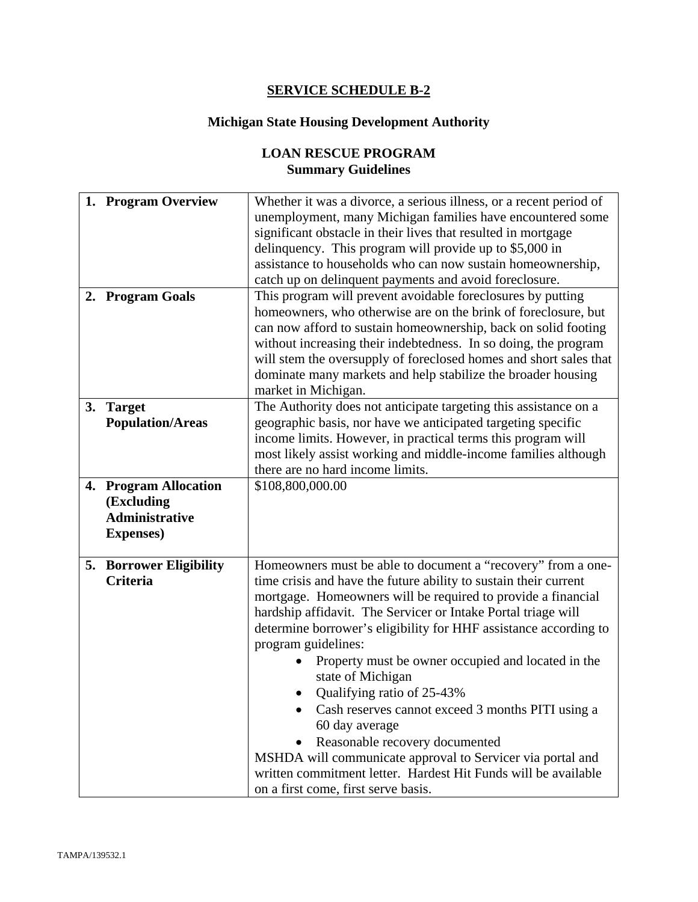# **SERVICE SCHEDULE B-2**

# **Michigan State Housing Development Authority**

# **LOAN RESCUE PROGRAM Summary Guidelines**

|    | 1. Program Overview            | Whether it was a divorce, a serious illness, or a recent period of  |  |
|----|--------------------------------|---------------------------------------------------------------------|--|
|    |                                | unemployment, many Michigan families have encountered some          |  |
|    |                                | significant obstacle in their lives that resulted in mortgage       |  |
|    |                                | delinquency. This program will provide up to \$5,000 in             |  |
|    |                                | assistance to households who can now sustain homeownership,         |  |
|    |                                | catch up on delinquent payments and avoid foreclosure.              |  |
|    | 2. Program Goals               | This program will prevent avoidable foreclosures by putting         |  |
|    |                                | homeowners, who otherwise are on the brink of foreclosure, but      |  |
|    |                                | can now afford to sustain homeownership, back on solid footing      |  |
|    |                                | without increasing their indebtedness. In so doing, the program     |  |
|    |                                | will stem the oversupply of foreclosed homes and short sales that   |  |
|    |                                | dominate many markets and help stabilize the broader housing        |  |
|    |                                | market in Michigan.                                                 |  |
| 3. | <b>Target</b>                  | The Authority does not anticipate targeting this assistance on a    |  |
|    | <b>Population/Areas</b>        | geographic basis, nor have we anticipated targeting specific        |  |
|    |                                | income limits. However, in practical terms this program will        |  |
|    |                                | most likely assist working and middle-income families although      |  |
|    |                                | there are no hard income limits.                                    |  |
|    | 4. Program Allocation          | \$108,800,000.00                                                    |  |
|    | (Excluding                     |                                                                     |  |
|    | <b>Administrative</b>          |                                                                     |  |
|    | <b>Expenses</b> )              |                                                                     |  |
|    |                                |                                                                     |  |
|    | <b>5. Borrower Eligibility</b> | Homeowners must be able to document a "recovery" from a one-        |  |
|    | <b>Criteria</b>                | time crisis and have the future ability to sustain their current    |  |
|    |                                | mortgage. Homeowners will be required to provide a financial        |  |
|    |                                | hardship affidavit. The Servicer or Intake Portal triage will       |  |
|    |                                | determine borrower's eligibility for HHF assistance according to    |  |
|    |                                | program guidelines:                                                 |  |
|    |                                | Property must be owner occupied and located in the                  |  |
|    | state of Michigan              |                                                                     |  |
|    |                                | Qualifying ratio of 25-43%                                          |  |
|    |                                |                                                                     |  |
|    |                                | Cash reserves cannot exceed 3 months PITI using a<br>60 day average |  |
|    |                                | Reasonable recovery documented                                      |  |
|    |                                | MSHDA will communicate approval to Servicer via portal and          |  |
|    |                                | written commitment letter. Hardest Hit Funds will be available      |  |
|    |                                | on a first come, first serve basis.                                 |  |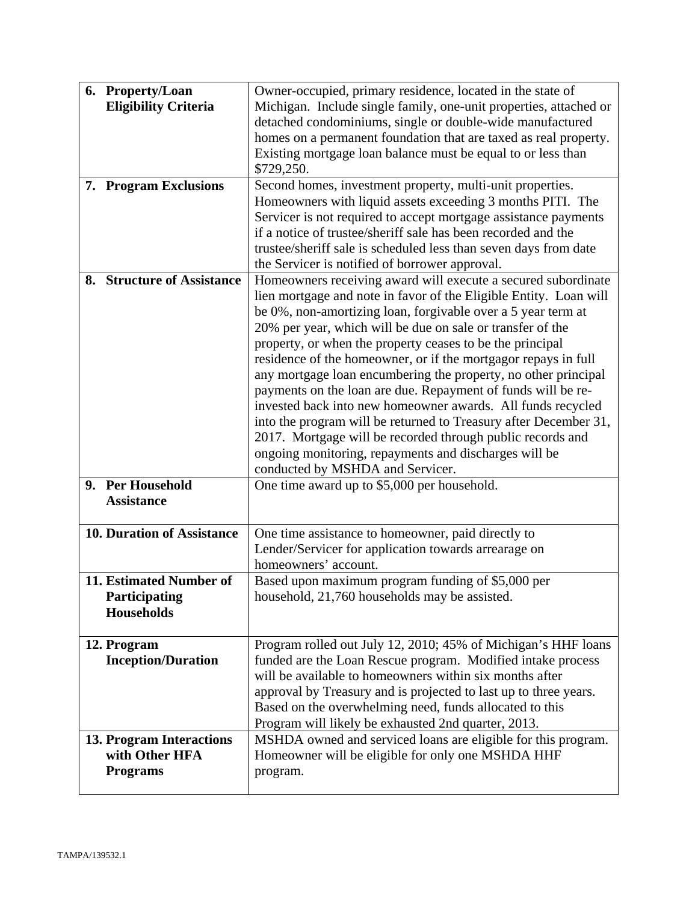| 6. Property/Loan<br><b>Eligibility Criteria</b> | Owner-occupied, primary residence, located in the state of<br>Michigan. Include single family, one-unit properties, attached or  |  |
|-------------------------------------------------|----------------------------------------------------------------------------------------------------------------------------------|--|
|                                                 | detached condominiums, single or double-wide manufactured                                                                        |  |
|                                                 | homes on a permanent foundation that are taxed as real property.                                                                 |  |
|                                                 | Existing mortgage loan balance must be equal to or less than                                                                     |  |
|                                                 | \$729,250.                                                                                                                       |  |
| 7. Program Exclusions                           | Second homes, investment property, multi-unit properties.                                                                        |  |
|                                                 | Homeowners with liquid assets exceeding 3 months PITI. The                                                                       |  |
|                                                 | Servicer is not required to accept mortgage assistance payments<br>if a notice of trustee/sheriff sale has been recorded and the |  |
|                                                 | trustee/sheriff sale is scheduled less than seven days from date                                                                 |  |
|                                                 | the Servicer is notified of borrower approval.                                                                                   |  |
| 8. Structure of Assistance                      | Homeowners receiving award will execute a secured subordinate                                                                    |  |
|                                                 | lien mortgage and note in favor of the Eligible Entity. Loan will                                                                |  |
|                                                 | be 0%, non-amortizing loan, forgivable over a 5 year term at                                                                     |  |
|                                                 | 20% per year, which will be due on sale or transfer of the                                                                       |  |
|                                                 | property, or when the property ceases to be the principal                                                                        |  |
|                                                 | residence of the homeowner, or if the mortgagor repays in full<br>any mortgage loan encumbering the property, no other principal |  |
|                                                 | payments on the loan are due. Repayment of funds will be re-                                                                     |  |
|                                                 | invested back into new homeowner awards. All funds recycled                                                                      |  |
|                                                 | into the program will be returned to Treasury after December 31,                                                                 |  |
|                                                 | 2017. Mortgage will be recorded through public records and                                                                       |  |
|                                                 | ongoing monitoring, repayments and discharges will be                                                                            |  |
|                                                 | conducted by MSHDA and Servicer.                                                                                                 |  |
| 9. Per Household<br><b>Assistance</b>           | One time award up to \$5,000 per household.                                                                                      |  |
|                                                 |                                                                                                                                  |  |
| <b>10. Duration of Assistance</b>               | One time assistance to homeowner, paid directly to                                                                               |  |
|                                                 | Lender/Servicer for application towards arrearage on                                                                             |  |
|                                                 | homeowners' account.                                                                                                             |  |
| 11. Estimated Number of                         | Based upon maximum program funding of \$5,000 per                                                                                |  |
| Participating                                   | household, 21,760 households may be assisted.                                                                                    |  |
| <b>Households</b>                               |                                                                                                                                  |  |
| 12. Program                                     | Program rolled out July 12, 2010; 45% of Michigan's HHF loans                                                                    |  |
| <b>Inception/Duration</b>                       | funded are the Loan Rescue program. Modified intake process                                                                      |  |
|                                                 | will be available to homeowners within six months after                                                                          |  |
|                                                 | approval by Treasury and is projected to last up to three years.                                                                 |  |
|                                                 | Based on the overwhelming need, funds allocated to this                                                                          |  |
|                                                 | Program will likely be exhausted 2nd quarter, 2013.                                                                              |  |
| 13. Program Interactions                        | MSHDA owned and serviced loans are eligible for this program.                                                                    |  |
| with Other HFA                                  | Homeowner will be eligible for only one MSHDA HHF                                                                                |  |
| <b>Programs</b>                                 | program.                                                                                                                         |  |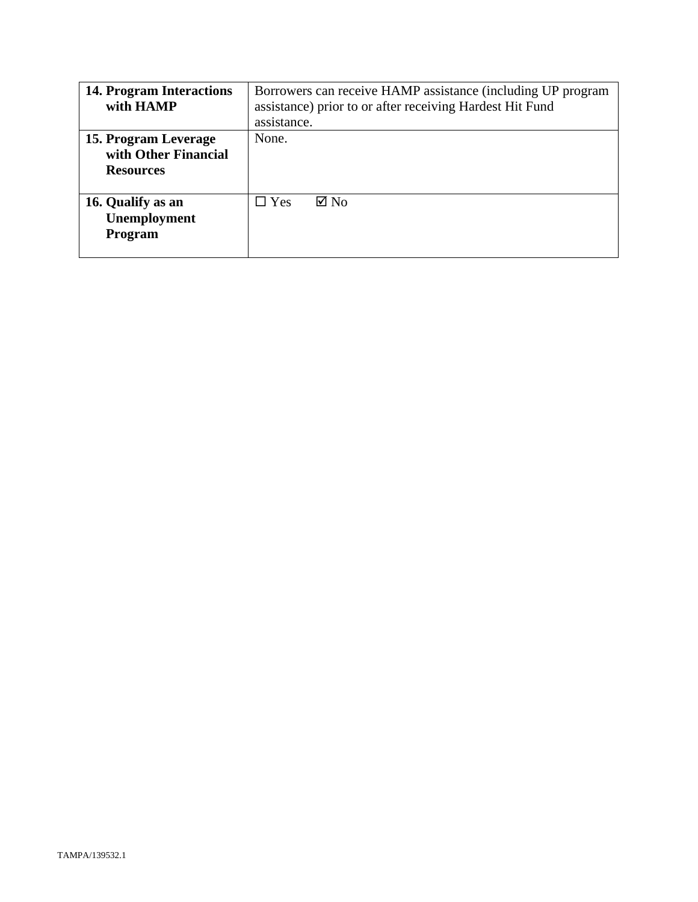| <b>14. Program Interactions</b><br>with HAMP                     | Borrowers can receive HAMP assistance (including UP program<br>assistance) prior to or after receiving Hardest Hit Fund<br>assistance. |  |
|------------------------------------------------------------------|----------------------------------------------------------------------------------------------------------------------------------------|--|
| 15. Program Leverage<br>with Other Financial<br><b>Resources</b> | None.                                                                                                                                  |  |
| 16. Qualify as an<br>Unemployment<br>Program                     | $\boxtimes$ No<br>$\square$ Yes                                                                                                        |  |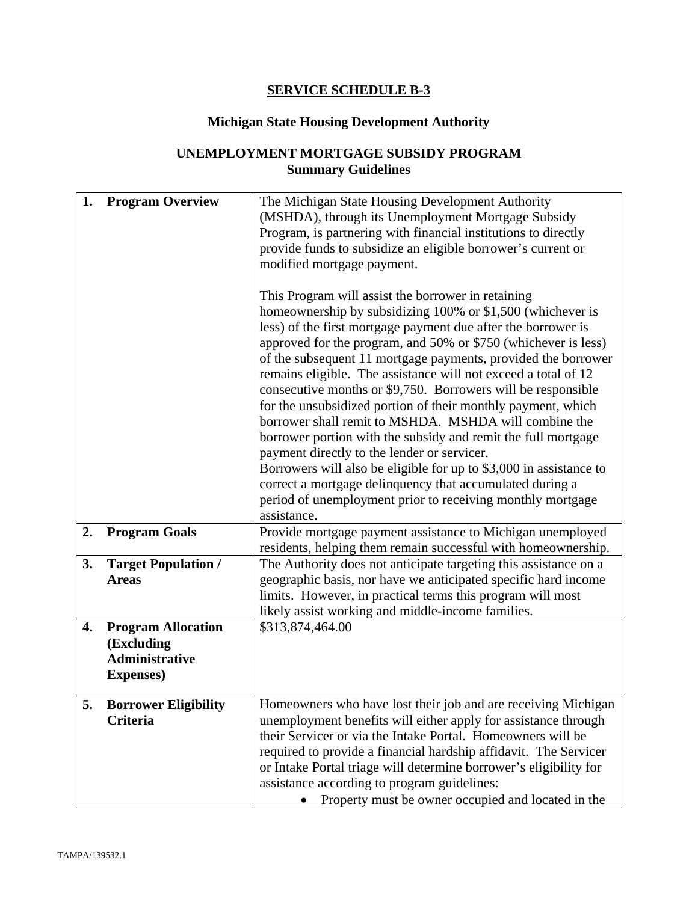# **SERVICE SCHEDULE B-3**

# **Michigan State Housing Development Authority**

# **UNEMPLOYMENT MORTGAGE SUBSIDY PROGRAM Summary Guidelines**

| 1. | <b>Program Overview</b>                                                               | The Michigan State Housing Development Authority<br>(MSHDA), through its Unemployment Mortgage Subsidy<br>Program, is partnering with financial institutions to directly<br>provide funds to subsidize an eligible borrower's current or<br>modified mortgage payment.<br>This Program will assist the borrower in retaining<br>homeownership by subsidizing 100% or \$1,500 (whichever is<br>less) of the first mortgage payment due after the borrower is<br>approved for the program, and 50% or \$750 (whichever is less)<br>of the subsequent 11 mortgage payments, provided the borrower<br>remains eligible. The assistance will not exceed a total of 12<br>consecutive months or \$9,750. Borrowers will be responsible<br>for the unsubsidized portion of their monthly payment, which |  |
|----|---------------------------------------------------------------------------------------|--------------------------------------------------------------------------------------------------------------------------------------------------------------------------------------------------------------------------------------------------------------------------------------------------------------------------------------------------------------------------------------------------------------------------------------------------------------------------------------------------------------------------------------------------------------------------------------------------------------------------------------------------------------------------------------------------------------------------------------------------------------------------------------------------|--|
|    |                                                                                       | borrower shall remit to MSHDA. MSHDA will combine the<br>borrower portion with the subsidy and remit the full mortgage<br>payment directly to the lender or servicer.<br>Borrowers will also be eligible for up to \$3,000 in assistance to<br>correct a mortgage delinquency that accumulated during a<br>period of unemployment prior to receiving monthly mortgage<br>assistance.                                                                                                                                                                                                                                                                                                                                                                                                             |  |
| 2. | <b>Program Goals</b>                                                                  | Provide mortgage payment assistance to Michigan unemployed<br>residents, helping them remain successful with homeownership.                                                                                                                                                                                                                                                                                                                                                                                                                                                                                                                                                                                                                                                                      |  |
| 3. | <b>Target Population /</b><br><b>Areas</b>                                            | The Authority does not anticipate targeting this assistance on a<br>geographic basis, nor have we anticipated specific hard income<br>limits. However, in practical terms this program will most<br>likely assist working and middle-income families.                                                                                                                                                                                                                                                                                                                                                                                                                                                                                                                                            |  |
| 4. | <b>Program Allocation</b><br>(Excluding<br><b>Administrative</b><br><b>Expenses</b> ) | \$313,874,464.00                                                                                                                                                                                                                                                                                                                                                                                                                                                                                                                                                                                                                                                                                                                                                                                 |  |
| 5. | <b>Borrower Eligibility</b><br><b>Criteria</b>                                        | Homeowners who have lost their job and are receiving Michigan<br>unemployment benefits will either apply for assistance through<br>their Servicer or via the Intake Portal. Homeowners will be<br>required to provide a financial hardship affidavit. The Servicer<br>or Intake Portal triage will determine borrower's eligibility for<br>assistance according to program guidelines:<br>Property must be owner occupied and located in the                                                                                                                                                                                                                                                                                                                                                     |  |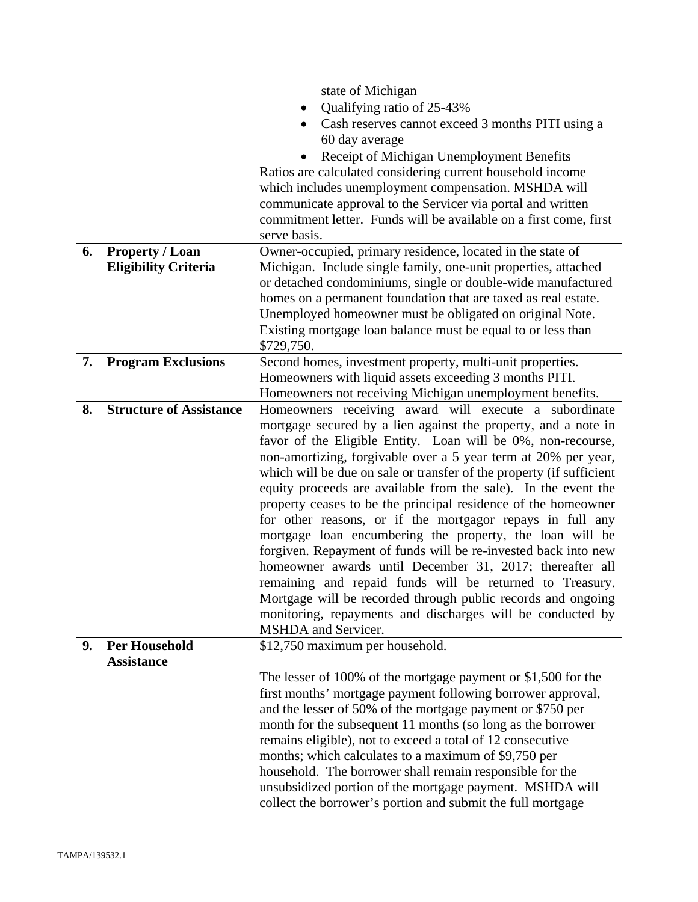| state of Michigan<br>Qualifying ratio of 25-43%<br>Cash reserves cannot exceed 3 months PITI using a<br>60 day average<br>Receipt of Michigan Unemployment Benefits |
|---------------------------------------------------------------------------------------------------------------------------------------------------------------------|
|                                                                                                                                                                     |
|                                                                                                                                                                     |
|                                                                                                                                                                     |
|                                                                                                                                                                     |
|                                                                                                                                                                     |
| Ratios are calculated considering current household income                                                                                                          |
| which includes unemployment compensation. MSHDA will                                                                                                                |
| communicate approval to the Servicer via portal and written                                                                                                         |
| commitment letter. Funds will be available on a first come, first                                                                                                   |
| serve basis.                                                                                                                                                        |
| Owner-occupied, primary residence, located in the state of<br><b>Property / Loan</b><br>6.                                                                          |
| <b>Eligibility Criteria</b><br>Michigan. Include single family, one-unit properties, attached                                                                       |
| or detached condominiums, single or double-wide manufactured                                                                                                        |
| homes on a permanent foundation that are taxed as real estate.                                                                                                      |
| Unemployed homeowner must be obligated on original Note.                                                                                                            |
| Existing mortgage loan balance must be equal to or less than                                                                                                        |
| \$729,750.                                                                                                                                                          |
| 7.<br><b>Program Exclusions</b><br>Second homes, investment property, multi-unit properties.                                                                        |
| Homeowners with liquid assets exceeding 3 months PITI.                                                                                                              |
| Homeowners not receiving Michigan unemployment benefits.                                                                                                            |
| <b>Structure of Assistance</b><br>8.<br>Homeowners receiving award will execute a subordinate                                                                       |
| mortgage secured by a lien against the property, and a note in                                                                                                      |
| favor of the Eligible Entity. Loan will be 0%, non-recourse,                                                                                                        |
| non-amortizing, forgivable over a 5 year term at 20% per year,                                                                                                      |
| which will be due on sale or transfer of the property (if sufficient                                                                                                |
| equity proceeds are available from the sale). In the event the                                                                                                      |
| property ceases to be the principal residence of the homeowner                                                                                                      |
| for other reasons, or if the mortgagor repays in full any                                                                                                           |
|                                                                                                                                                                     |
| mortgage loan encumbering the property, the loan will be                                                                                                            |
| forgiven. Repayment of funds will be re-invested back into new                                                                                                      |
| homeowner awards until December 31, 2017; thereafter all                                                                                                            |
| remaining and repaid funds will be returned to Treasury.                                                                                                            |
| Mortgage will be recorded through public records and ongoing                                                                                                        |
| monitoring, repayments and discharges will be conducted by                                                                                                          |
| MSHDA and Servicer.                                                                                                                                                 |
| <b>Per Household</b><br>\$12,750 maximum per household.<br>9.                                                                                                       |
| <b>Assistance</b>                                                                                                                                                   |
| The lesser of 100% of the mortgage payment or $$1,500$ for the                                                                                                      |
| first months' mortgage payment following borrower approval,                                                                                                         |
| and the lesser of 50% of the mortgage payment or \$750 per                                                                                                          |
| month for the subsequent 11 months (so long as the borrower                                                                                                         |
| remains eligible), not to exceed a total of 12 consecutive                                                                                                          |
| months; which calculates to a maximum of \$9,750 per                                                                                                                |
| household. The borrower shall remain responsible for the                                                                                                            |
| unsubsidized portion of the mortgage payment. MSHDA will                                                                                                            |
| collect the borrower's portion and submit the full mortgage                                                                                                         |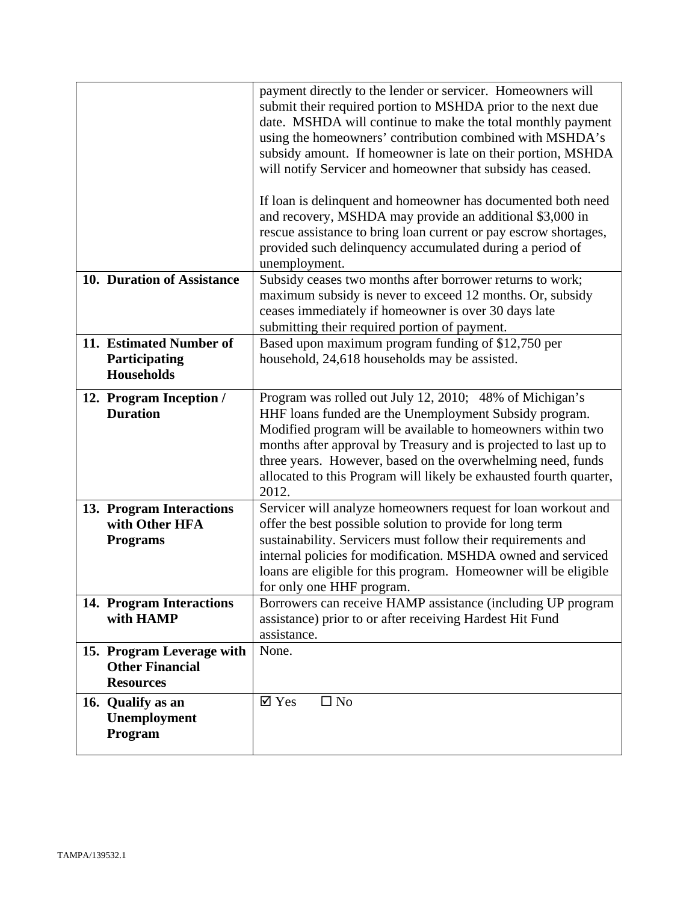|                                                                         | payment directly to the lender or servicer. Homeowners will<br>submit their required portion to MSHDA prior to the next due<br>date. MSHDA will continue to make the total monthly payment<br>using the homeowners' contribution combined with MSHDA's<br>subsidy amount. If homeowner is late on their portion, MSHDA<br>will notify Servicer and homeowner that subsidy has ceased.<br>If loan is delinquent and homeowner has documented both need<br>and recovery, MSHDA may provide an additional \$3,000 in<br>rescue assistance to bring loan current or pay escrow shortages,<br>provided such delinquency accumulated during a period of<br>unemployment. |
|-------------------------------------------------------------------------|--------------------------------------------------------------------------------------------------------------------------------------------------------------------------------------------------------------------------------------------------------------------------------------------------------------------------------------------------------------------------------------------------------------------------------------------------------------------------------------------------------------------------------------------------------------------------------------------------------------------------------------------------------------------|
| 10. Duration of Assistance                                              | Subsidy ceases two months after borrower returns to work;<br>maximum subsidy is never to exceed 12 months. Or, subsidy<br>ceases immediately if homeowner is over 30 days late<br>submitting their required portion of payment.                                                                                                                                                                                                                                                                                                                                                                                                                                    |
| 11. Estimated Number of<br>Participating<br><b>Households</b>           | Based upon maximum program funding of \$12,750 per<br>household, 24,618 households may be assisted.                                                                                                                                                                                                                                                                                                                                                                                                                                                                                                                                                                |
| 12. Program Inception /<br><b>Duration</b>                              | Program was rolled out July 12, 2010; 48% of Michigan's<br>HHF loans funded are the Unemployment Subsidy program.<br>Modified program will be available to homeowners within two<br>months after approval by Treasury and is projected to last up to<br>three years. However, based on the overwhelming need, funds<br>allocated to this Program will likely be exhausted fourth quarter,<br>2012.                                                                                                                                                                                                                                                                 |
| 13. Program Interactions<br>with Other HFA<br><b>Programs</b>           | Servicer will analyze homeowners request for loan workout and<br>offer the best possible solution to provide for long term<br>sustainability. Servicers must follow their requirements and<br>internal policies for modification. MSHDA owned and serviced<br>loans are eligible for this program. Homeowner will be eligible<br>for only one HHF program.                                                                                                                                                                                                                                                                                                         |
| 14. Program Interactions<br>with HAMP                                   | Borrowers can receive HAMP assistance (including UP program<br>assistance) prior to or after receiving Hardest Hit Fund<br>assistance.                                                                                                                                                                                                                                                                                                                                                                                                                                                                                                                             |
| 15. Program Leverage with<br><b>Other Financial</b><br><b>Resources</b> | None.                                                                                                                                                                                                                                                                                                                                                                                                                                                                                                                                                                                                                                                              |
| 16. Qualify as an<br>Unemployment<br>Program                            | $\boxtimes$ Yes<br>$\square$ No                                                                                                                                                                                                                                                                                                                                                                                                                                                                                                                                                                                                                                    |